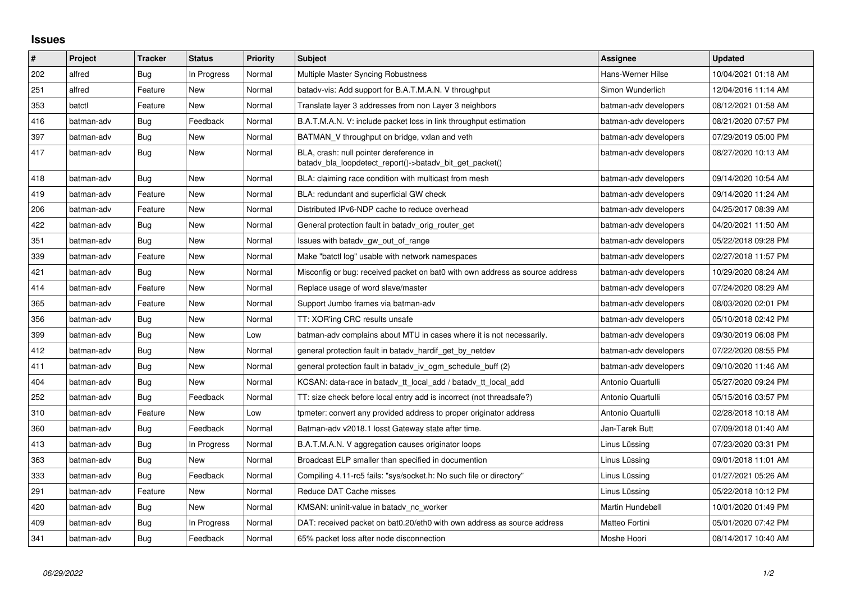## **Issues**

| $\pmb{\#}$ | Project    | <b>Tracker</b> | <b>Status</b> | Priority | <b>Subject</b>                                                                                     | Assignee              | <b>Updated</b>      |
|------------|------------|----------------|---------------|----------|----------------------------------------------------------------------------------------------------|-----------------------|---------------------|
| 202        | alfred     | Bug            | In Progress   | Normal   | Multiple Master Syncing Robustness                                                                 | Hans-Werner Hilse     | 10/04/2021 01:18 AM |
| 251        | alfred     | Feature        | <b>New</b>    | Normal   | batady-vis: Add support for B.A.T.M.A.N. V throughput                                              | Simon Wunderlich      | 12/04/2016 11:14 AM |
| 353        | batctl     | Feature        | New           | Normal   | Translate layer 3 addresses from non Layer 3 neighbors                                             | batman-adv developers | 08/12/2021 01:58 AM |
| 416        | batman-adv | Bug            | Feedback      | Normal   | B.A.T.M.A.N. V: include packet loss in link throughput estimation                                  | batman-adv developers | 08/21/2020 07:57 PM |
| 397        | batman-adv | <b>Bug</b>     | New           | Normal   | BATMAN_V throughput on bridge, vxlan and veth                                                      | batman-adv developers | 07/29/2019 05:00 PM |
| 417        | batman-adv | Bug            | <b>New</b>    | Normal   | BLA, crash: null pointer dereference in<br>batady_bla_loopdetect_report()->batady_bit_get_packet() | batman-adv developers | 08/27/2020 10:13 AM |
| 418        | batman-adv | Bug            | <b>New</b>    | Normal   | BLA: claiming race condition with multicast from mesh                                              | batman-adv developers | 09/14/2020 10:54 AM |
| 419        | batman-adv | Feature        | <b>New</b>    | Normal   | BLA: redundant and superficial GW check                                                            | batman-adv developers | 09/14/2020 11:24 AM |
| 206        | batman-adv | Feature        | <b>New</b>    | Normal   | Distributed IPv6-NDP cache to reduce overhead                                                      | batman-adv developers | 04/25/2017 08:39 AM |
| 422        | batman-adv | Bug            | <b>New</b>    | Normal   | General protection fault in batady orig router get                                                 | batman-adv developers | 04/20/2021 11:50 AM |
| 351        | batman-adv | Bug            | <b>New</b>    | Normal   | Issues with batady gw_out_of_range                                                                 | batman-adv developers | 05/22/2018 09:28 PM |
| 339        | batman-adv | Feature        | <b>New</b>    | Normal   | Make "batctl log" usable with network namespaces                                                   | batman-adv developers | 02/27/2018 11:57 PM |
| 421        | batman-adv | <b>Bug</b>     | <b>New</b>    | Normal   | Misconfig or bug: received packet on bat0 with own address as source address                       | batman-adv developers | 10/29/2020 08:24 AM |
| 414        | batman-adv | Feature        | New           | Normal   | Replace usage of word slave/master                                                                 | batman-adv developers | 07/24/2020 08:29 AM |
| 365        | batman-adv | Feature        | New           | Normal   | Support Jumbo frames via batman-adv                                                                | batman-adv developers | 08/03/2020 02:01 PM |
| 356        | batman-adv | <b>Bug</b>     | New           | Normal   | TT: XOR'ing CRC results unsafe                                                                     | batman-adv developers | 05/10/2018 02:42 PM |
| 399        | batman-adv | Bug            | <b>New</b>    | Low      | batman-adv complains about MTU in cases where it is not necessarily.                               | batman-adv developers | 09/30/2019 06:08 PM |
| 412        | batman-adv | Bug            | New           | Normal   | general protection fault in batady hardif get by netdev                                            | batman-adv developers | 07/22/2020 08:55 PM |
| 411        | batman-adv | Bug            | New           | Normal   | general protection fault in batady iv ogm schedule buff (2)                                        | batman-adv developers | 09/10/2020 11:46 AM |
| 404        | batman-adv | Bug            | New           | Normal   | KCSAN: data-race in batady tt local add / batady tt local add                                      | Antonio Quartulli     | 05/27/2020 09:24 PM |
| 252        | batman-adv | Bug            | Feedback      | Normal   | TT: size check before local entry add is incorrect (not threadsafe?)                               | Antonio Quartulli     | 05/15/2016 03:57 PM |
| 310        | batman-adv | Feature        | <b>New</b>    | Low      | tpmeter: convert any provided address to proper originator address                                 | Antonio Quartulli     | 02/28/2018 10:18 AM |
| 360        | batman-adv | Bug            | Feedback      | Normal   | Batman-adv v2018.1 losst Gateway state after time.                                                 | Jan-Tarek Butt        | 07/09/2018 01:40 AM |
| 413        | batman-adv | Bug            | In Progress   | Normal   | B.A.T.M.A.N. V aggregation causes originator loops                                                 | Linus Lüssing         | 07/23/2020 03:31 PM |
| 363        | batman-adv | Bug            | New           | Normal   | Broadcast ELP smaller than specified in documention                                                | Linus Lüssing         | 09/01/2018 11:01 AM |
| 333        | batman-adv | Bug            | Feedback      | Normal   | Compiling 4.11-rc5 fails: "sys/socket.h: No such file or directory"                                | Linus Lüssing         | 01/27/2021 05:26 AM |
| 291        | batman-adv | Feature        | <b>New</b>    | Normal   | Reduce DAT Cache misses                                                                            | Linus Lüssing         | 05/22/2018 10:12 PM |
| 420        | batman-adv | Bug            | <b>New</b>    | Normal   | KMSAN: uninit-value in batady nc worker                                                            | Martin Hundebøll      | 10/01/2020 01:49 PM |
| 409        | batman-adv | Bug            | In Progress   | Normal   | DAT: received packet on bat0.20/eth0 with own address as source address                            | Matteo Fortini        | 05/01/2020 07:42 PM |
| 341        | batman-adv | Bug            | Feedback      | Normal   | 65% packet loss after node disconnection                                                           | Moshe Hoori           | 08/14/2017 10:40 AM |